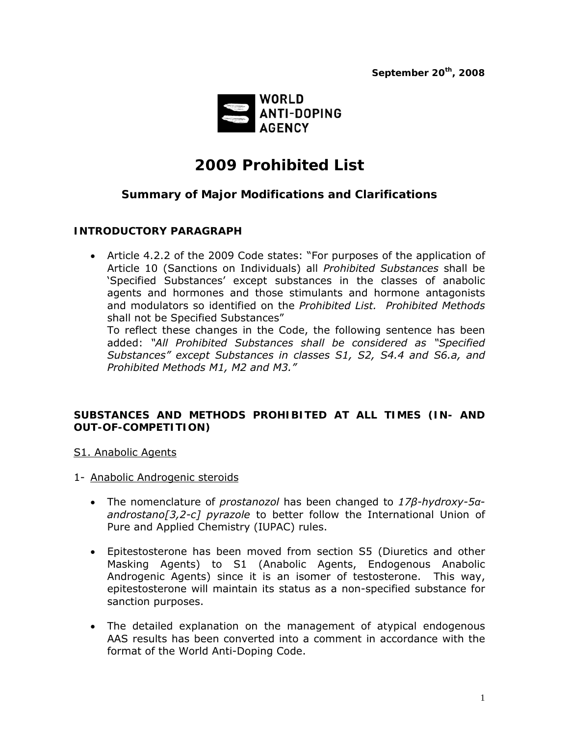

# *2009 Prohibited List*

# *Summary of Major Modifications and Clarifications*

## **INTRODUCTORY PARAGRAPH**

• Article 4.2.2 of the 2009 Code states: "For purposes of the application of Article 10 (Sanctions on Individuals) all *Prohibited Substances* shall be 'Specified Substances' except substances in the classes of anabolic agents and hormones and those stimulants and hormone antagonists and modulators so identified on the *Prohibited List. Prohibited Methods* shall not be Specified Substances"

To reflect these changes in the Code, the following sentence has been added: *"All Prohibited Substances shall be considered as "Specified Substances" except Substances in classes S1, S2, S4.4 and S6.a, and Prohibited Methods M1, M2 and M3."*

## **SUBSTANCES AND METHODS PROHIBITED AT ALL TIMES (IN- AND OUT-OF-COMPETITION)**

S1. Anabolic Agents

- 1- Anabolic Androgenic steroids
	- The nomenclature of *prostanozol* has been changed to *17β-hydroxy-5αandrostano[3,2-c] pyrazole* to better follow the International Union of Pure and Applied Chemistry (IUPAC) rules.
	- Epitestosterone has been moved from section S5 (Diuretics and other Masking Agents) to S1 (Anabolic Agents, Endogenous Anabolic Androgenic Agents) since it is an isomer of testosterone. This way, epitestosterone will maintain its status as a non-specified substance for sanction purposes.
	- The detailed explanation on the management of atypical endogenous AAS results has been converted into a comment in accordance with the format of the World Anti-Doping Code.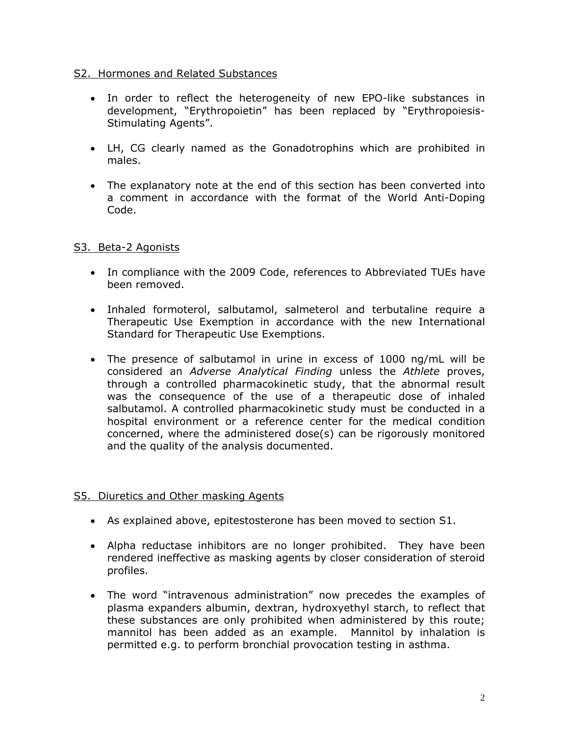## S2. Hormones and Related Substances

- In order to reflect the heterogeneity of new EPO-like substances in development, "Erythropoietin" has been replaced by "Erythropoiesis-Stimulating Agents".
- LH, CG clearly named as the Gonadotrophins which are prohibited in males.
- The explanatory note at the end of this section has been converted into a comment in accordance with the format of the World Anti-Doping Code.

# S3. Beta-2 Agonists

- In compliance with the 2009 Code, references to Abbreviated TUEs have been removed.
- Inhaled formoterol, salbutamol, salmeterol and terbutaline require a Therapeutic Use Exemption in accordance with the new International Standard for Therapeutic Use Exemptions.
- The presence of salbutamol in urine in excess of 1000 ng/mL will be considered an *Adverse Analytical Finding* unless the *Athlete* proves, through a controlled pharmacokinetic study, that the abnormal result was the consequence of the use of a therapeutic dose of inhaled salbutamol. A controlled pharmacokinetic study must be conducted in a hospital environment or a reference center for the medical condition concerned, where the administered dose(s) can be rigorously monitored and the quality of the analysis documented.

# S5. Diuretics and Other masking Agents

- As explained above, epitestosterone has been moved to section S1.
- Alpha reductase inhibitors are no longer prohibited. They have been rendered ineffective as masking agents by closer consideration of steroid profiles.
- The word "intravenous administration" now precedes the examples of plasma expanders albumin, dextran, hydroxyethyl starch, to reflect that these substances are only prohibited when administered by this route; mannitol has been added as an example. Mannitol by inhalation is permitted e.g. to perform bronchial provocation testing in asthma.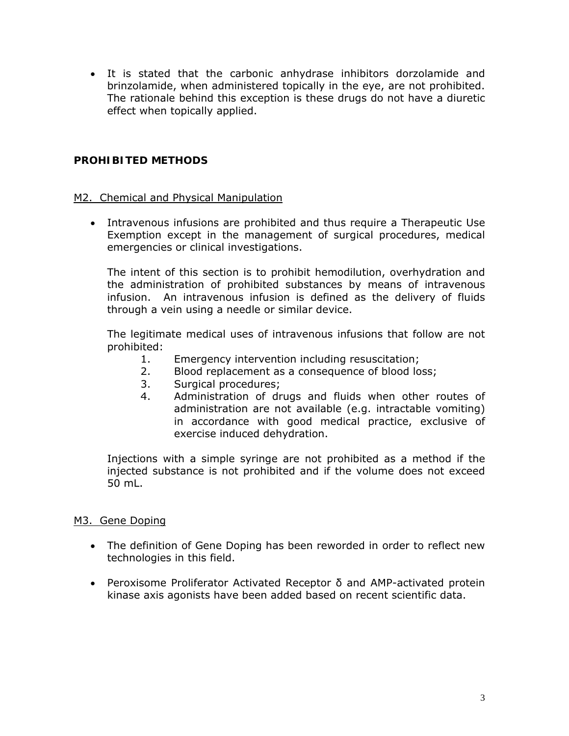• It is stated that the carbonic anhydrase inhibitors dorzolamide and brinzolamide, when administered topically in the eye, are not prohibited. The rationale behind this exception is these drugs do not have a diuretic effect when topically applied.

# **PROHIBITED METHODS**

## M2. Chemical and Physical Manipulation

• Intravenous infusions are prohibited and thus require a Therapeutic Use Exemption except in the management of surgical procedures, medical emergencies or clinical investigations.

The intent of this section is to prohibit hemodilution, overhydration and the administration of prohibited substances by means of intravenous infusion. An intravenous infusion is defined as the delivery of fluids through a vein using a needle or similar device.

The legitimate medical uses of intravenous infusions that follow are not prohibited:

- 1. Emergency intervention including resuscitation;
- 2. Blood replacement as a consequence of blood loss;
- 3. Surgical procedures;
- 4. Administration of drugs and fluids when other routes of administration are not available (e.g. intractable vomiting) in accordance with good medical practice, exclusive of exercise induced dehydration.

Injections with a simple syringe are not prohibited as a method if the injected substance is not prohibited and if the volume does not exceed 50 mL.

#### M3. Gene Doping

- The definition of Gene Doping has been reworded in order to reflect new technologies in this field.
- Peroxisome Proliferator Activated Receptor δ and AMP-activated protein kinase axis agonists have been added based on recent scientific data.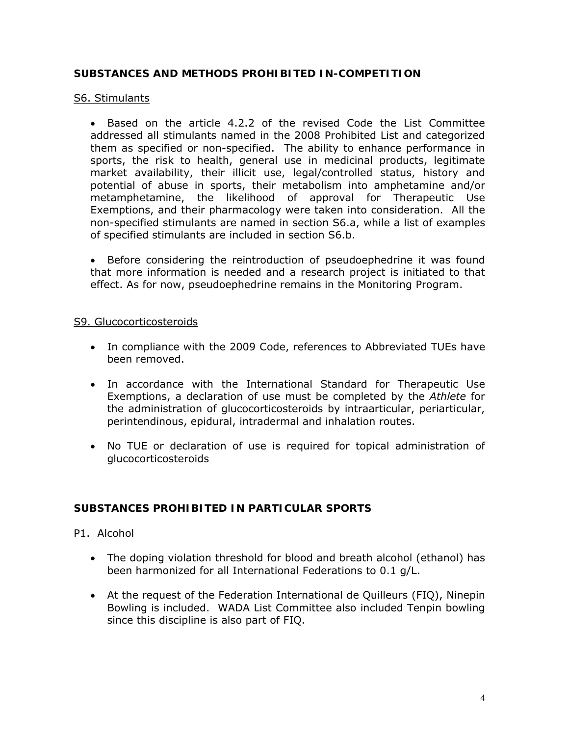## **SUBSTANCES AND METHODS PROHIBITED IN-COMPETITION**

#### S6. Stimulants

• Based on the article 4.2.2 of the revised Code the List Committee addressed all stimulants named in the 2008 Prohibited List and categorized them as specified or non-specified. The ability to enhance performance in sports, the risk to health, general use in medicinal products, legitimate market availability, their illicit use, legal/controlled status, history and potential of abuse in sports, their metabolism into amphetamine and/or metamphetamine, the likelihood of approval for Therapeutic Use Exemptions, and their pharmacology were taken into consideration. All the non-specified stimulants are named in section S6.a, while a list of examples of specified stimulants are included in section S6.b.

• Before considering the reintroduction of pseudoephedrine it was found that more information is needed and a research project is initiated to that effect. As for now, pseudoephedrine remains in the Monitoring Program.

#### S9. Glucocorticosteroids

- In compliance with the 2009 Code, references to Abbreviated TUEs have been removed.
- In accordance with the International Standard for Therapeutic Use Exemptions, a declaration of use must be completed by the *Athlete* for the administration of glucocorticosteroids by intraarticular, periarticular, perintendinous, epidural, intradermal and inhalation routes.
- No TUE or declaration of use is required for topical administration of glucocorticosteroids

# **SUBSTANCES PROHIBITED IN PARTICULAR SPORTS**

#### P1. Alcohol

- The doping violation threshold for blood and breath alcohol (ethanol) has been harmonized for all International Federations to 0.1 g/L.
- At the request of the Federation International de Quilleurs (FIQ), Ninepin Bowling is included. WADA List Committee also included Tenpin bowling since this discipline is also part of FIQ.